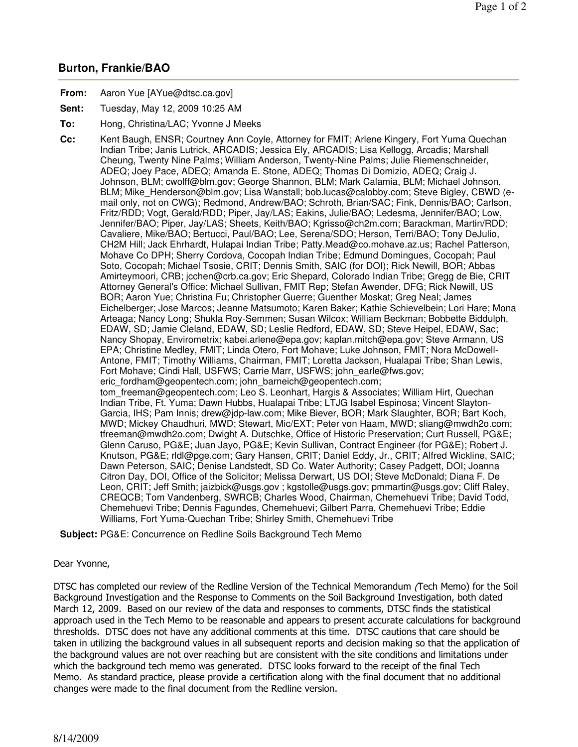## **Burton, Frankie/BAO**

- **From:** Aaron Yue [AYue@dtsc.ca.gov]
- **Sent:** Tuesday, May 12, 2009 10:25 AM
- **To:** Hong, Christina/LAC; Yvonne J Meeks

**Cc:** Kent Baugh, ENSR; Courtney Ann Coyle, Attorney for FMIT; Arlene Kingery, Fort Yuma Quechan Indian Tribe; Janis Lutrick, ARCADIS; Jessica Ely, ARCADIS; Lisa Kellogg, Arcadis; Marshall Cheung, Twenty Nine Palms; William Anderson, Twenty-Nine Palms; Julie Riemenschneider, ADEQ; Joey Pace, ADEQ; Amanda E. Stone, ADEQ; Thomas Di Domizio, ADEQ; Craig J. Johnson, BLM; cwolff@blm.gov; George Shannon, BLM; Mark Calamia, BLM; Michael Johnson, BLM; Mike Henderson@blm.gov; Lisa Wanstall; bob.lucas@calobby.com; Steve Bigley, CBWD (email only, not on CWG); Redmond, Andrew/BAO; Schroth, Brian/SAC; Fink, Dennis/BAO; Carlson, Fritz/RDD; Vogt, Gerald/RDD; Piper, Jay/LAS; Eakins, Julie/BAO; Ledesma, Jennifer/BAO; Low, Jennifer/BAO; Piper, Jay/LAS; Sheets, Keith/BAO; Kgrisso@ch2m.com; Barackman, Martin/RDD; Cavaliere, Mike/BAO; Bertucci, Paul/BAO; Lee, Serena/SDO; Herson, Terri/BAO; Tony DeJulio, CH2M Hill; Jack Ehrhardt, Hulapai Indian Tribe; Patty.Mead@co.mohave.az.us; Rachel Patterson, Mohave Co DPH; Sherry Cordova, Cocopah Indian Tribe; Edmund Domingues, Cocopah; Paul Soto, Cocopah; Michael Tsosie, CRIT; Dennis Smith, SAIC (for DOI); Rick Newill, BOR; Abbas Amirteymoori, CRB; jcchen@crb.ca.gov; Eric Shepard, Colorado Indian Tribe; Gregg de Bie, CRIT Attorney General's Office; Michael Sullivan, FMIT Rep; Stefan Awender, DFG; Rick Newill, US BOR; Aaron Yue; Christina Fu; Christopher Guerre; Guenther Moskat; Greg Neal; James Eichelberger; Jose Marcos; Jeanne Matsumoto; Karen Baker; Kathie Schievelbein; Lori Hare; Mona Arteaga; Nancy Long; Shukla Roy-Semmen; Susan Wilcox; William Beckman; Bobbette Biddulph, EDAW, SD; Jamie Cleland, EDAW, SD; Leslie Redford, EDAW, SD; Steve Heipel, EDAW, Sac; Nancy Shopay, Envirometrix; kabei.arlene@epa.gov; kaplan.mitch@epa.gov; Steve Armann, US EPA; Christine Medley, FMIT; Linda Otero, Fort Mohave; Luke Johnson, FMIT; Nora McDowell-Antone, FMIT; Timothy Williams, Chairman, FMIT; Loretta Jackson, Hualapai Tribe; Shan Lewis, Fort Mohave; Cindi Hall, USFWS; Carrie Marr, USFWS; john\_earle@fws.gov; eric\_fordham@geopentech.com; john\_barneich@geopentech.com; tom freeman@geopentech.com; Leo S. Leonhart, Hargis & Associates; William Hirt, Quechan Indian Tribe, Ft. Yuma; Dawn Hubbs, Hualapai Tribe; LTJG Isabel Espinosa; Vincent Slayton-Garcia, IHS; Pam Innis; drew@jdp-law.com; Mike Biever, BOR; Mark Slaughter, BOR; Bart Koch, MWD; Mickey Chaudhuri, MWD; Stewart, Mic/EXT; Peter von Haam, MWD; sliang@mwdh2o.com; tfreeman@mwdh2o.com; Dwight A. Dutschke, Office of Historic Preservation; Curt Russell, PG&E; Glenn Caruso, PG&E; Juan Jayo, PG&E; Kevin Sullivan, Contract Engineer (for PG&E); Robert J. Knutson, PG&E; rldl@pge.com; Gary Hansen, CRIT; Daniel Eddy, Jr., CRIT; Alfred Wickline, SAIC; Dawn Peterson, SAIC; Denise Landstedt, SD Co. Water Authority; Casey Padgett, DOI; Joanna Citron Day, DOI, Office of the Solicitor; Melissa Derwart, US DOI; Steve McDonald; Diana F. De Leon, CRIT; Jeff Smith; jaizbick@usgs.gov ; kgstolle@usgs.gov; pmmartin@usgs.gov; Cliff Raley, CREQCB; Tom Vandenberg, SWRCB; Charles Wood, Chairman, Chemehuevi Tribe; David Todd, Chemehuevi Tribe; Dennis Fagundes, Chemehuevi; Gilbert Parra, Chemehuevi Tribe; Eddie Williams, Fort Yuma-Quechan Tribe; Shirley Smith, Chemehuevi Tribe

**Subject:** PG&E: Concurrence on Redline Soils Background Tech Memo

## Dear Yvonne,

DTSC has completed our review of the Redline Version of the Technical Memorandum (Tech Memo) for the Soil Background Investigation and the Response to Comments on the Soil Background Investigation, both dated March 12, 2009. Based on our review of the data and responses to comments, DTSC finds the statistical approach used in the Tech Memo to be reasonable and appears to present accurate calculations for background thresholds. DTSC does not have any additional comments at this time. DTSC cautions that care should be taken in utilizing the background values in all subsequent reports and decision making so that the application of the background values are not over reaching but are consistent with the site conditions and limitations under which the background tech memo was generated. DTSC looks forward to the receipt of the final Tech Memo. As standard practice, please provide a certification along with the final document that no additional changes were made to the final document from the Redline version.